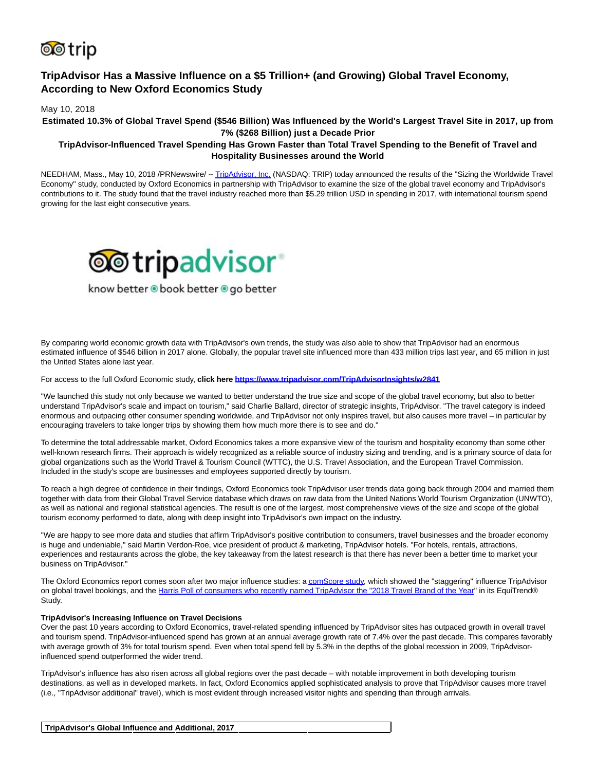

# **TripAdvisor Has a Massive Influence on a \$5 Trillion+ (and Growing) Global Travel Economy, According to New Oxford Economics Study**

May 10, 2018

**Estimated 10.3% of Global Travel Spend (\$546 Billion) Was Influenced by the World's Largest Travel Site in 2017, up from 7% (\$268 Billion) just a Decade Prior**

## **TripAdvisor-Influenced Travel Spending Has Grown Faster than Total Travel Spending to the Benefit of Travel and Hospitality Businesses around the World**

NEEDHAM, Mass., May 10, 2018 /PRNewswire/ -[- TripAdvisor, Inc. \(](https://www.tripadvisor.com/)NASDAQ: TRIP) today announced the results of the "Sizing the Worldwide Travel Economy" study, conducted by Oxford Economics in partnership with TripAdvisor to examine the size of the global travel economy and TripAdvisor's contributions to it. The study found that the travel industry reached more than \$5.29 trillion USD in spending in 2017, with international tourism spend growing for the last eight consecutive years.



know better . book better . go better

By comparing world economic growth data with TripAdvisor's own trends, the study was also able to show that TripAdvisor had an enormous estimated influence of \$546 billion in 2017 alone. Globally, the popular travel site influenced more than 433 million trips last year, and 65 million in just the United States alone last year.

For access to the full Oxford Economic study, **click here<https://www.tripadvisor.com/TripAdvisorInsights/w2841>**

"We launched this study not only because we wanted to better understand the true size and scope of the global travel economy, but also to better understand TripAdvisor's scale and impact on tourism," said Charlie Ballard, director of strategic insights, TripAdvisor. "The travel category is indeed enormous and outpacing other consumer spending worldwide, and TripAdvisor not only inspires travel, but also causes more travel – in particular by encouraging travelers to take longer trips by showing them how much more there is to see and do."

To determine the total addressable market, Oxford Economics takes a more expansive view of the tourism and hospitality economy than some other well-known research firms. Their approach is widely recognized as a reliable source of industry sizing and trending, and is a primary source of data for global organizations such as the World Travel & Tourism Council (WTTC), the U.S. Travel Association, and the European Travel Commission. Included in the study's scope are businesses and employees supported directly by tourism.

To reach a high degree of confidence in their findings, Oxford Economics took TripAdvisor user trends data going back through 2004 and married them together with data from their Global Travel Service database which draws on raw data from the United Nations World Tourism Organization (UNWTO), as well as national and regional statistical agencies. The result is one of the largest, most comprehensive views of the size and scope of the global tourism economy performed to date, along with deep insight into TripAdvisor's own impact on the industry.

"We are happy to see more data and studies that affirm TripAdvisor's positive contribution to consumers, travel businesses and the broader economy is huge and undeniable," said Martin Verdon-Roe, vice president of product & marketing, TripAdvisor hotels. "For hotels, rentals, attractions, experiences and restaurants across the globe, the key takeaway from the latest research is that there has never been a better time to market your business on TripAdvisor."

The Oxford Economics report comes soon after two major influence studies: [a comScore study,](https://tripadvisor.mediaroom.com/2018-04-12-Majority-of-Global-Online-Travel-Buyers-Visit-TripAdvisor-before-Booking-a-Hotel-or-Flight-According-to-New-Study) which showed the "staggering" influence TripAdvisor on global travel bookings, and the [Harris Poll of consumers who recently named TripAdvisor the "2018 Travel Brand of the Year"](https://theharrispoll.com/the-harris-poll-announces-this-years-brands-of-the-year-in-the-2018-equitrend-study/) in its EquiTrend® Study.

#### **TripAdvisor's Increasing Influence on Travel Decisions**

Over the past 10 years according to Oxford Economics, travel-related spending influenced by TripAdvisor sites has outpaced growth in overall travel and tourism spend. TripAdvisor-influenced spend has grown at an annual average growth rate of 7.4% over the past decade. This compares favorably with average growth of 3% for total tourism spend. Even when total spend fell by 5.3% in the depths of the global recession in 2009, TripAdvisorinfluenced spend outperformed the wider trend.

TripAdvisor's influence has also risen across all global regions over the past decade – with notable improvement in both developing tourism destinations, as well as in developed markets. In fact, Oxford Economics applied sophisticated analysis to prove that TripAdvisor causes more travel (i.e., "TripAdvisor additional" travel), which is most evident through increased visitor nights and spending than through arrivals.

| TripAdvisor's Global Influence and Additional, 2017 |  |  |
|-----------------------------------------------------|--|--|
|                                                     |  |  |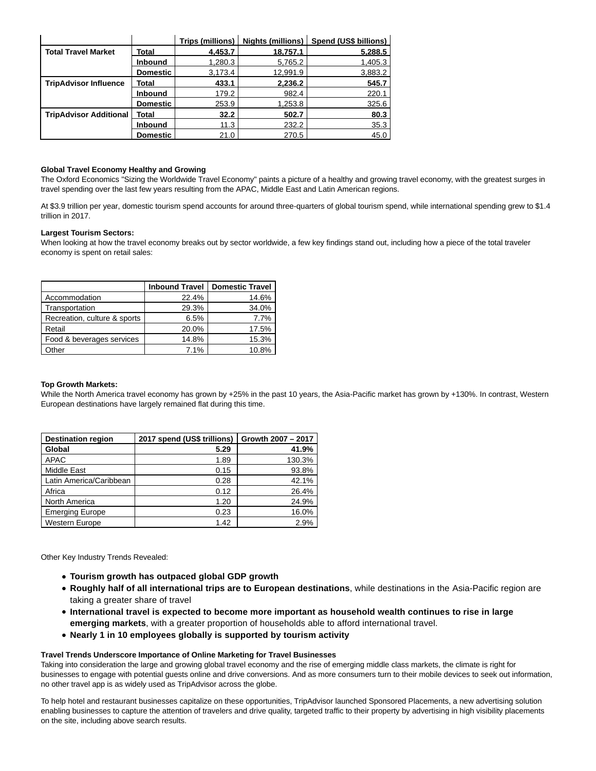|                               |                 |         |          | Trips (millions)   Nights (millions)   Spend (US\$ billions) |
|-------------------------------|-----------------|---------|----------|--------------------------------------------------------------|
| <b>Total Travel Market</b>    | Total           | 4,453.7 | 18,757.1 | 5,288.5                                                      |
|                               | <b>Inbound</b>  | 1,280.3 | 5,765.2  | 1,405.3                                                      |
|                               | <b>Domestic</b> | 3,173.4 | 12,991.9 | 3,883.2                                                      |
| <b>TripAdvisor Influence</b>  | Total           | 433.1   | 2,236.2  | 545.7                                                        |
|                               | <b>Inbound</b>  | 179.2   | 982.4    | 220.1                                                        |
|                               | <b>Domestic</b> | 253.9   | 1,253.8  | 325.6                                                        |
| <b>TripAdvisor Additional</b> | Total           | 32.2    | 502.7    | 80.3                                                         |
|                               | <b>Inbound</b>  | 11.3    | 232.2    | 35.3                                                         |
|                               | <b>Domestic</b> | 21.0    | 270.5    | 45.0                                                         |

#### **Global Travel Economy Healthy and Growing**

The Oxford Economics "Sizing the Worldwide Travel Economy" paints a picture of a healthy and growing travel economy, with the greatest surges in travel spending over the last few years resulting from the APAC, Middle East and Latin American regions.

At \$3.9 trillion per year, domestic tourism spend accounts for around three-quarters of global tourism spend, while international spending grew to \$1.4 trillion in 2017.

#### **Largest Tourism Sectors:**

When looking at how the travel economy breaks out by sector worldwide, a few key findings stand out, including how a piece of the total traveler economy is spent on retail sales:

|                              | <b>Inbound Travel</b> | <b>Domestic Travel</b> |
|------------------------------|-----------------------|------------------------|
| Accommodation                | 22.4%                 | 14.6%                  |
| Transportation               | 29.3%                 | 34.0%                  |
| Recreation, culture & sports | 6.5%                  | 7.7%                   |
| Retail                       | 20.0%                 | 17.5%                  |
| Food & beverages services    | 14.8%                 | 15.3%                  |
| Other                        | 7.1%                  | 10.8%                  |

#### **Top Growth Markets:**

While the North America travel economy has grown by +25% in the past 10 years, the Asia-Pacific market has grown by +130%. In contrast, Western European destinations have largely remained flat during this time.

| <b>Destination region</b> | 2017 spend (US\$ trillions) | Growth 2007 - 2017 |
|---------------------------|-----------------------------|--------------------|
| Global                    | 5.29                        | 41.9%              |
| <b>APAC</b>               | 1.89                        | 130.3%             |
| Middle East               | 0.15                        | 93.8%              |
| Latin America/Caribbean   | 0.28                        | 42.1%              |
| Africa                    | 0.12                        | 26.4%              |
| North America             | 1.20                        | 24.9%              |
| <b>Emerging Europe</b>    | 0.23                        | 16.0%              |
| Western Europe            | 1.42                        | 2.9%               |

Other Key Industry Trends Revealed:

- **Tourism growth has outpaced global GDP growth**
- **Roughly half of all international trips are to European destinations**, while destinations in the Asia-Pacific region are taking a greater share of travel
- **International travel is expected to become more important as household wealth continues to rise in large emerging markets**, with a greater proportion of households able to afford international travel.
- **Nearly 1 in 10 employees globally is supported by tourism activity**

#### **Travel Trends Underscore Importance of Online Marketing for Travel Businesses**

Taking into consideration the large and growing global travel economy and the rise of emerging middle class markets, the climate is right for businesses to engage with potential guests online and drive conversions. And as more consumers turn to their mobile devices to seek out information, no other travel app is as widely used as TripAdvisor across the globe.

To help hotel and restaurant businesses capitalize on these opportunities, TripAdvisor launched Sponsored Placements, a new advertising solution enabling businesses to capture the attention of travelers and drive quality, targeted traffic to their property by advertising in high visibility placements on the site, including above search results.